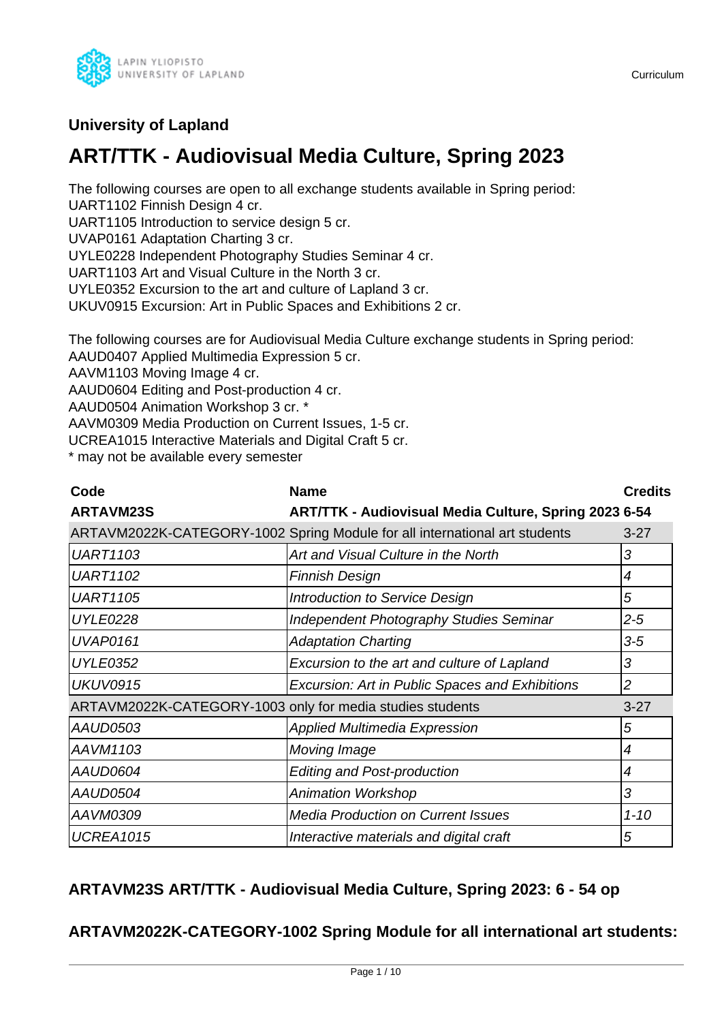

## **University of Lapland**

## **ART/TTK - Audiovisual Media Culture, Spring 2023**

The following courses are open to all exchange students available in Spring period: UART1102 Finnish Design 4 cr.

UART1105 Introduction to service design 5 cr.

UVAP0161 Adaptation Charting 3 cr.

UYLE0228 Independent Photography Studies Seminar 4 cr.

UART1103 Art and Visual Culture in the North 3 cr.

UYLE0352 Excursion to the art and culture of Lapland 3 cr.

UKUV0915 Excursion: Art in Public Spaces and Exhibitions 2 cr.

The following courses are for Audiovisual Media Culture exchange students in Spring period: AAUD0407 Applied Multimedia Expression 5 cr.

AAVM1103 Moving Image 4 cr.

AAUD0604 Editing and Post-production 4 cr.

AAUD0504 Animation Workshop 3 cr. \*

AAVM0309 Media Production on Current Issues, 1-5 cr.

UCREA1015 Interactive Materials and Digital Craft 5 cr.

\* may not be available every semester

| Code             | <b>Name</b>                                                                | <b>Credits</b> |
|------------------|----------------------------------------------------------------------------|----------------|
| <b>ARTAVM23S</b> | <b>ART/TTK - Audiovisual Media Culture, Spring 2023 6-54</b>               |                |
|                  | ARTAVM2022K-CATEGORY-1002 Spring Module for all international art students | $3 - 27$       |
| UART1103         | Art and Visual Culture in the North                                        | 3              |
| <b>UART1102</b>  | <b>Finnish Design</b>                                                      | 4              |
| <b>UART1105</b>  | Introduction to Service Design                                             | 5              |
| UYLE0228         | Independent Photography Studies Seminar                                    | $2 - 5$        |
| UVAP0161         | <b>Adaptation Charting</b>                                                 | $3-5$          |

UYLE0352 Excursion to the art and culture of Lapland 3 UKUV0915 **Excursion: Art in Public Spaces and Exhibitions** 2

ARTAVM2022K-CATEGORY-1003 only for media studies students 3-27 AAUD0503 Applied Multimedia Expression 5 AAVM1103 Moving Image AAVM1103 AAVM1103 AAUD0604 **Editing and Post-production** 14 AAUD0504 Animation Workshop 3

# **ARTAVM23S ART/TTK - Audiovisual Media Culture, Spring 2023: 6 - 54 op**

AAVM0309 Media Production on Current Issues 1-10 UCREA1015 **Interactive materials and digital craft** 5

## **ARTAVM2022K-CATEGORY-1002 Spring Module for all international art students:**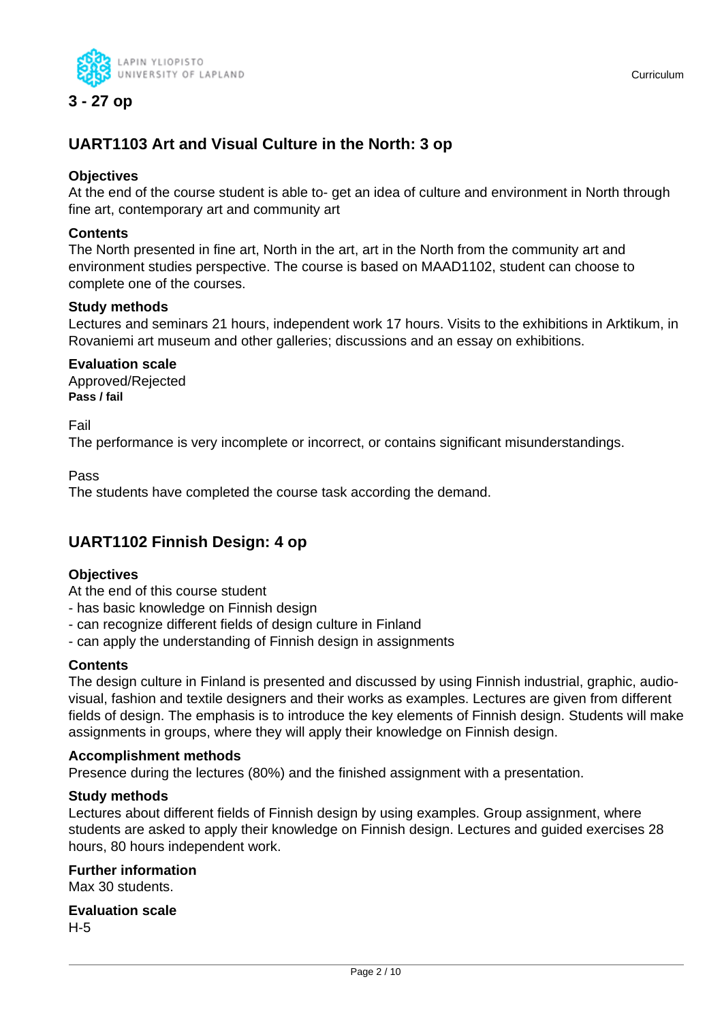

**3 - 27 op**

## **UART1103 Art and Visual Culture in the North: 3 op**

#### **Objectives**

At the end of the course student is able to- get an idea of culture and environment in North through fine art, contemporary art and community art

#### **Contents**

The North presented in fine art, North in the art, art in the North from the community art and environment studies perspective. The course is based on MAAD1102, student can choose to complete one of the courses.

#### **Study methods**

Lectures and seminars 21 hours, independent work 17 hours. Visits to the exhibitions in Arktikum, in Rovaniemi art museum and other galleries; discussions and an essay on exhibitions.

#### **Evaluation scale**

Approved/Rejected **Pass / fail**

Fail

The performance is very incomplete or incorrect, or contains significant misunderstandings.

Pass

The students have completed the course task according the demand.

## **UART1102 Finnish Design: 4 op**

#### **Objectives**

At the end of this course student

- has basic knowledge on Finnish design
- can recognize different fields of design culture in Finland
- can apply the understanding of Finnish design in assignments

#### **Contents**

The design culture in Finland is presented and discussed by using Finnish industrial, graphic, audiovisual, fashion and textile designers and their works as examples. Lectures are given from different fields of design. The emphasis is to introduce the key elements of Finnish design. Students will make assignments in groups, where they will apply their knowledge on Finnish design.

#### **Accomplishment methods**

Presence during the lectures (80%) and the finished assignment with a presentation.

#### **Study methods**

Lectures about different fields of Finnish design by using examples. Group assignment, where students are asked to apply their knowledge on Finnish design. Lectures and guided exercises 28 hours, 80 hours independent work.

#### **Further information**

Max 30 students.

**Evaluation scale** H-5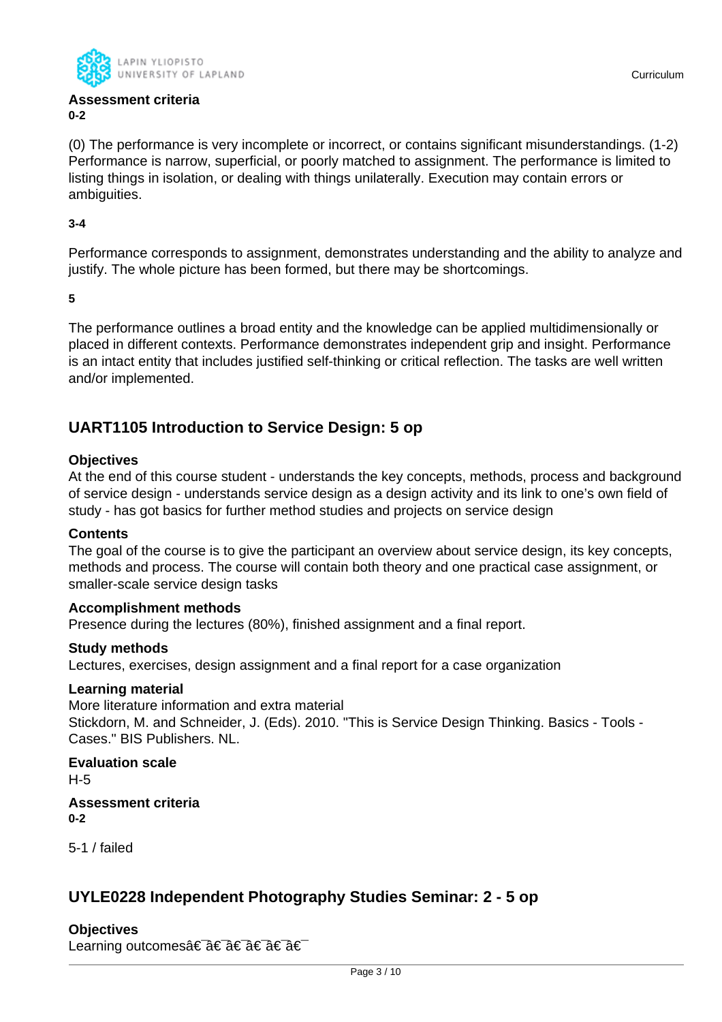

#### **Assessment criteria 0-2**

(0) The performance is very incomplete or incorrect, or contains significant misunderstandings. (1-2) Performance is narrow, superficial, or poorly matched to assignment. The performance is limited to listing things in isolation, or dealing with things unilaterally. Execution may contain errors or ambiguities.

**3-4**

Performance corresponds to assignment, demonstrates understanding and the ability to analyze and justify. The whole picture has been formed, but there may be shortcomings.

**5**

The performance outlines a broad entity and the knowledge can be applied multidimensionally or placed in different contexts. Performance demonstrates independent grip and insight. Performance is an intact entity that includes justified self-thinking or critical reflection. The tasks are well written and/or implemented.

## **UART1105 Introduction to Service Design: 5 op**

#### **Objectives**

At the end of this course student - understands the key concepts, methods, process and background of service design - understands service design as a design activity and its link to one's own field of study - has got basics for further method studies and projects on service design

#### **Contents**

The goal of the course is to give the participant an overview about service design, its key concepts, methods and process. The course will contain both theory and one practical case assignment, or smaller-scale service design tasks

#### **Accomplishment methods**

Presence during the lectures (80%), finished assignment and a final report.

#### **Study methods**

Lectures, exercises, design assignment and a final report for a case organization

#### **Learning material**

More literature information and extra material Stickdorn, M. and Schneider, J. (Eds). 2010. "This is Service Design Thinking. Basics - Tools - Cases." BIS Publishers. NL.

**Evaluation scale** H-5

**Assessment criteria 0-2**

5-1 / failed

## **UYLE0228 Independent Photography Studies Seminar: 2 - 5 op**

#### **Objectives**

Learning outcomes†â€ †â€ †â€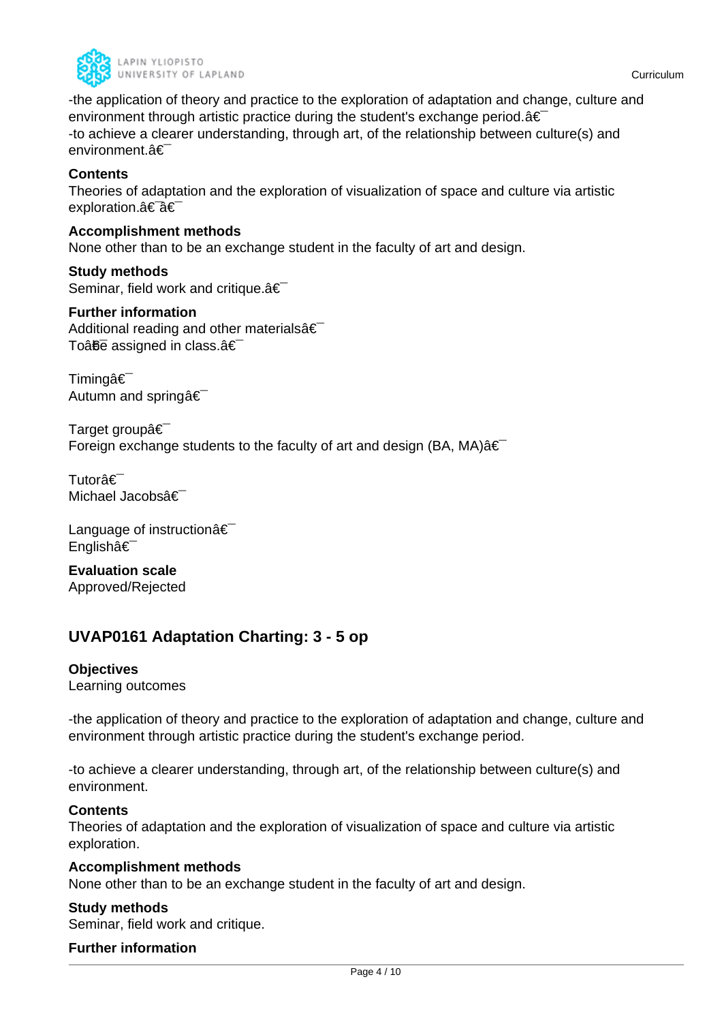

-the application of theory and practice to the exploration of adaptation and change, culture and environment through artistic practice during the student's exchange period. $a \in I$ -to achieve a clearer understanding, through art, of the relationship between culture(s) and environment.â€

#### **Contents**

Theories of adaptation and the exploration of visualization of space and culture via artistic exploration.†â€

#### **Accomplishment methods**

None other than to be an exchange student in the faculty of art and design.

**Study methods** Seminar, field work and critique. $\hat{a} \in \hat{a}$ 

#### **Further information**

Additional reading and other materials $\hat{a} \in \hat{a}$ To $\hat{a}$  $\hat{b}$  assigned in class. $\hat{a} \in$ 

Timingâ€<sup>-</sup> Autumn and spring  $\hat{\epsilon}$ 

Target groupâ€ Foreign exchange students to the faculty of art and design (BA, MA) $\hat{a} \in$ 

Tutorâ€<sup>-</sup> Michael Jacobsâ€

Language of instruction  $\hat{\mathbf{a}} \in \mathbb{R}$ Englishâ€

**Evaluation scale** Approved/Rejected

## **UVAP0161 Adaptation Charting: 3 - 5 op**

#### **Objectives**

Learning outcomes

-the application of theory and practice to the exploration of adaptation and change, culture and environment through artistic practice during the student's exchange period.

-to achieve a clearer understanding, through art, of the relationship between culture(s) and environment.

#### **Contents**

Theories of adaptation and the exploration of visualization of space and culture via artistic exploration.

#### **Accomplishment methods**

None other than to be an exchange student in the faculty of art and design.

#### **Study methods**

Seminar, field work and critique.

#### **Further information**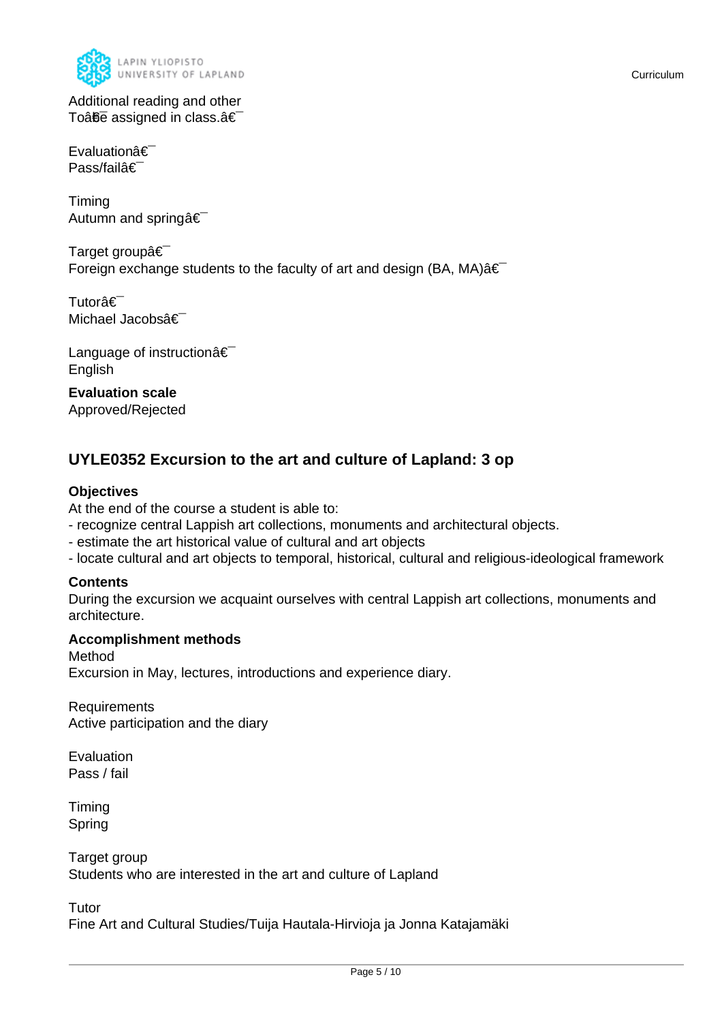

Evaluationâ€ Pass/failâ€

Timing Autumn and springâ€

Target groupâ€ Foreign exchange students to the faculty of art and design (BA, MA) $\hat{a} \in$ 

Tutorâ€<sup>-</sup> Michael Jacobsâ€

Language of instructionâ€ English

**Evaluation scale** Approved/Rejected

## **UYLE0352 Excursion to the art and culture of Lapland: 3 op**

#### **Objectives**

At the end of the course a student is able to:

- recognize central Lappish art collections, monuments and architectural objects.
- estimate the art historical value of cultural and art objects
- locate cultural and art objects to temporal, historical, cultural and religious-ideological framework

#### **Contents**

During the excursion we acquaint ourselves with central Lappish art collections, monuments and architecture.

#### **Accomplishment methods**

Method Excursion in May, lectures, introductions and experience diary.

Requirements Active participation and the diary

Evaluation Pass / fail

Timing Spring

Target group Students who are interested in the art and culture of Lapland

**Tutor** 

Fine Art and Cultural Studies/Tuija Hautala-Hirvioja ja Jonna Katajamäki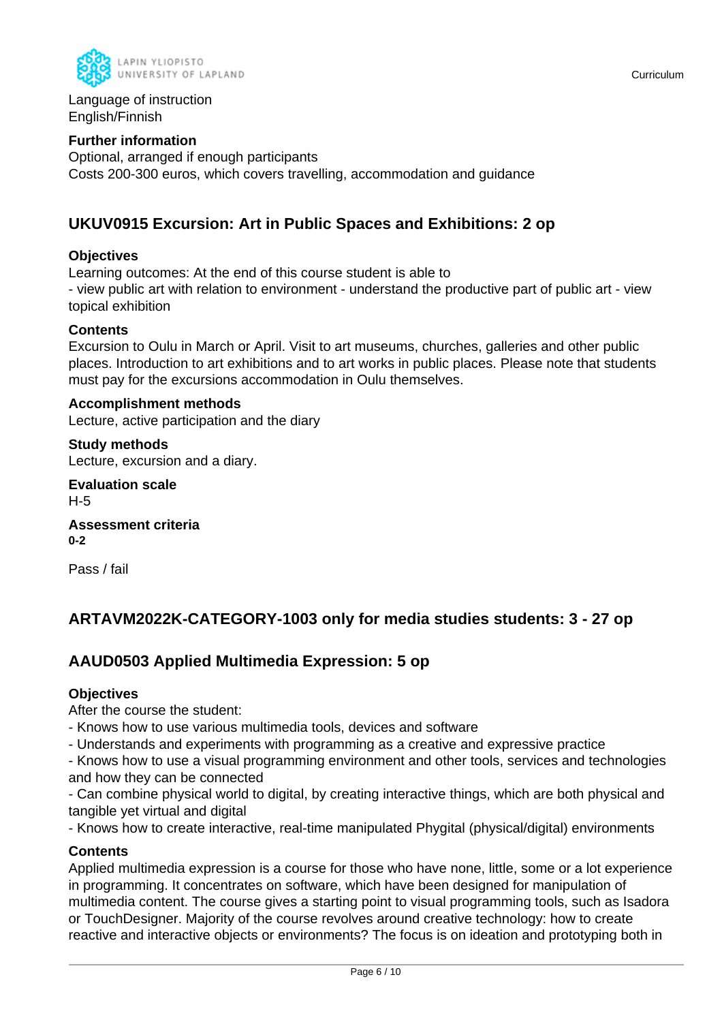

Language of instruction English/Finnish

#### **Further information**

Optional, arranged if enough participants Costs 200-300 euros, which covers travelling, accommodation and guidance

## **UKUV0915 Excursion: Art in Public Spaces and Exhibitions: 2 op**

#### **Objectives**

Learning outcomes: At the end of this course student is able to - view public art with relation to environment - understand the productive part of public art - view topical exhibition

#### **Contents**

Excursion to Oulu in March or April. Visit to art museums, churches, galleries and other public places. Introduction to art exhibitions and to art works in public places. Please note that students must pay for the excursions accommodation in Oulu themselves.

#### **Accomplishment methods**

Lecture, active participation and the diary

**Study methods** Lecture, excursion and a diary.

**Evaluation scale** H-5

**Assessment criteria 0-2**

Pass / fail

## **ARTAVM2022K-CATEGORY-1003 only for media studies students: 3 - 27 op**

## **AAUD0503 Applied Multimedia Expression: 5 op**

#### **Objectives**

After the course the student:

- Knows how to use various multimedia tools, devices and software

- Understands and experiments with programming as a creative and expressive practice

- Knows how to use a visual programming environment and other tools, services and technologies and how they can be connected

- Can combine physical world to digital, by creating interactive things, which are both physical and tangible yet virtual and digital

- Knows how to create interactive, real-time manipulated Phygital (physical/digital) environments

#### **Contents**

Applied multimedia expression is a course for those who have none, little, some or a lot experience in programming. It concentrates on software, which have been designed for manipulation of multimedia content. The course gives a starting point to visual programming tools, such as Isadora or TouchDesigner. Majority of the course revolves around creative technology: how to create reactive and interactive objects or environments? The focus is on ideation and prototyping both in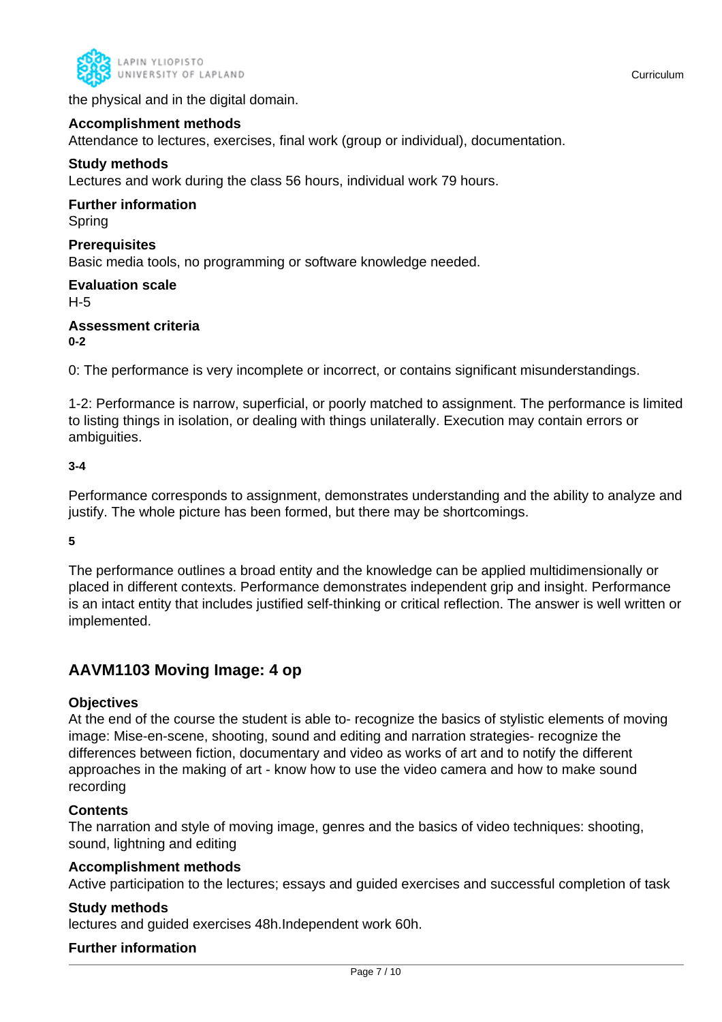

the physical and in the digital domain.

#### **Accomplishment methods**

Attendance to lectures, exercises, final work (group or individual), documentation.

#### **Study methods**

Lectures and work during the class 56 hours, individual work 79 hours.

## **Further information**

Spring

#### **Prerequisites**

Basic media tools, no programming or software knowledge needed.

#### **Evaluation scale** H-5

#### **Assessment criteria 0-2**

0: The performance is very incomplete or incorrect, or contains significant misunderstandings.

1-2: Performance is narrow, superficial, or poorly matched to assignment. The performance is limited to listing things in isolation, or dealing with things unilaterally. Execution may contain errors or ambiguities.

#### **3-4**

Performance corresponds to assignment, demonstrates understanding and the ability to analyze and justify. The whole picture has been formed, but there may be shortcomings.

#### **5**

The performance outlines a broad entity and the knowledge can be applied multidimensionally or placed in different contexts. Performance demonstrates independent grip and insight. Performance is an intact entity that includes justified self-thinking or critical reflection. The answer is well written or implemented.

### **AAVM1103 Moving Image: 4 op**

#### **Objectives**

At the end of the course the student is able to- recognize the basics of stylistic elements of moving image: Mise-en-scene, shooting, sound and editing and narration strategies- recognize the differences between fiction, documentary and video as works of art and to notify the different approaches in the making of art - know how to use the video camera and how to make sound recording

#### **Contents**

The narration and style of moving image, genres and the basics of video techniques: shooting, sound, lightning and editing

#### **Accomplishment methods**

Active participation to the lectures; essays and guided exercises and successful completion of task

#### **Study methods**

lectures and guided exercises 48h.Independent work 60h.

#### **Further information**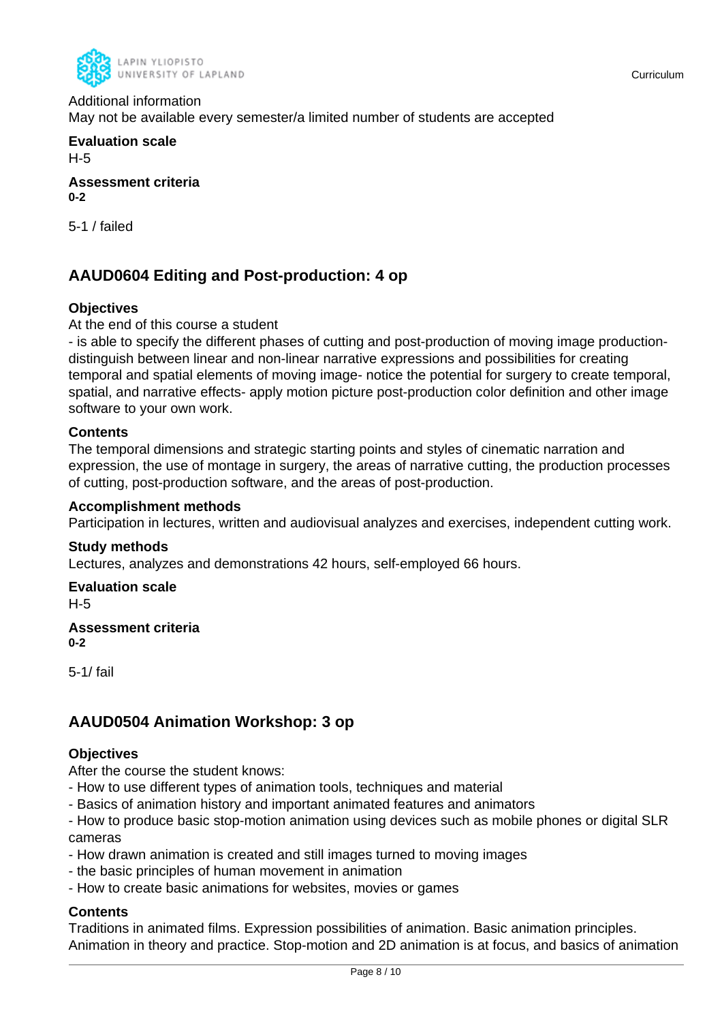

## Additional information

May not be available every semester/a limited number of students are accepted

**Evaluation scale** H-5

**Assessment criteria 0-2**

5-1 / failed

## **AAUD0604 Editing and Post-production: 4 op**

#### **Objectives**

#### At the end of this course a student

- is able to specify the different phases of cutting and post-production of moving image productiondistinguish between linear and non-linear narrative expressions and possibilities for creating temporal and spatial elements of moving image- notice the potential for surgery to create temporal, spatial, and narrative effects- apply motion picture post-production color definition and other image software to your own work.

#### **Contents**

The temporal dimensions and strategic starting points and styles of cinematic narration and expression, the use of montage in surgery, the areas of narrative cutting, the production processes of cutting, post-production software, and the areas of post-production.

#### **Accomplishment methods**

Participation in lectures, written and audiovisual analyzes and exercises, independent cutting work.

#### **Study methods**

Lectures, analyzes and demonstrations 42 hours, self-employed 66 hours.

**Evaluation scale** H-5

#### **Assessment criteria 0-2**

5-1/ fail

## **AAUD0504 Animation Workshop: 3 op**

#### **Objectives**

After the course the student knows:

- How to use different types of animation tools, techniques and material
- Basics of animation history and important animated features and animators

- How to produce basic stop-motion animation using devices such as mobile phones or digital SLR cameras

- How drawn animation is created and still images turned to moving images
- the basic principles of human movement in animation
- How to create basic animations for websites, movies or games

#### **Contents**

Traditions in animated films. Expression possibilities of animation. Basic animation principles. Animation in theory and practice. Stop-motion and 2D animation is at focus, and basics of animation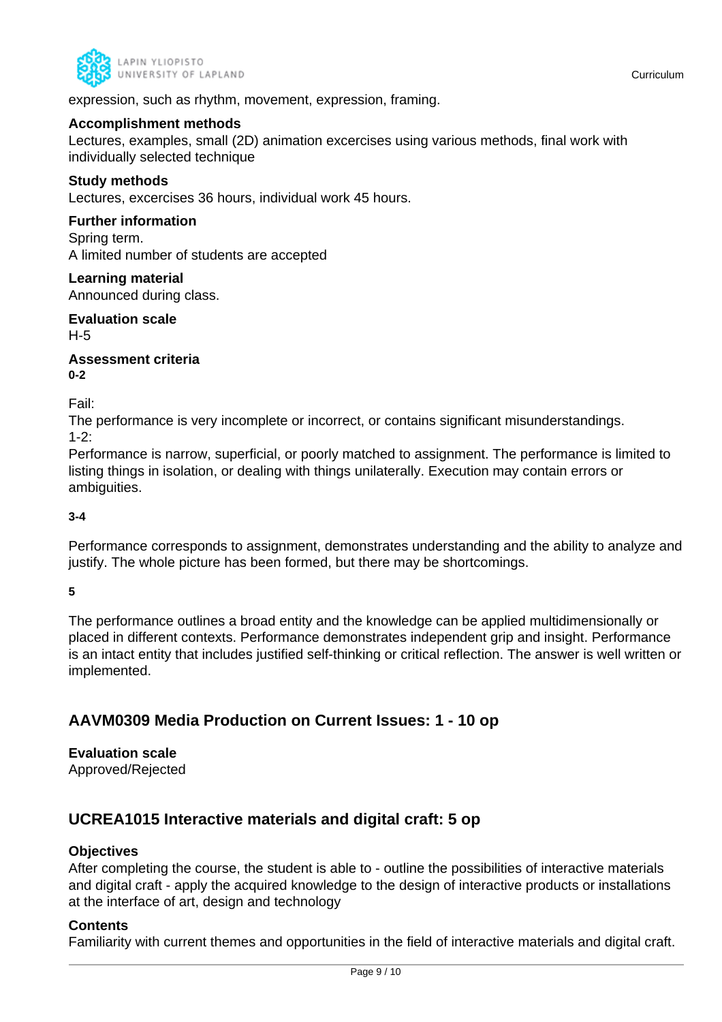

expression, such as rhythm, movement, expression, framing.

#### **Accomplishment methods**

Lectures, examples, small (2D) animation excercises using various methods, final work with individually selected technique

#### **Study methods**

Lectures, excercises 36 hours, individual work 45 hours.

#### **Further information**

Spring term. A limited number of students are accepted

#### **Learning material**

Announced during class.

**Evaluation scale** H-5

**Assessment criteria 0-2**

Fail:

The performance is very incomplete or incorrect, or contains significant misunderstandings.  $1 - 2$ 

Performance is narrow, superficial, or poorly matched to assignment. The performance is limited to listing things in isolation, or dealing with things unilaterally. Execution may contain errors or ambiguities.

#### **3-4**

Performance corresponds to assignment, demonstrates understanding and the ability to analyze and justify. The whole picture has been formed, but there may be shortcomings.

**5**

The performance outlines a broad entity and the knowledge can be applied multidimensionally or placed in different contexts. Performance demonstrates independent grip and insight. Performance is an intact entity that includes justified self-thinking or critical reflection. The answer is well written or implemented.

## **AAVM0309 Media Production on Current Issues: 1 - 10 op**

## **Evaluation scale**

Approved/Rejected

## **UCREA1015 Interactive materials and digital craft: 5 op**

#### **Objectives**

After completing the course, the student is able to - outline the possibilities of interactive materials and digital craft - apply the acquired knowledge to the design of interactive products or installations at the interface of art, design and technology

#### **Contents**

Familiarity with current themes and opportunities in the field of interactive materials and digital craft.